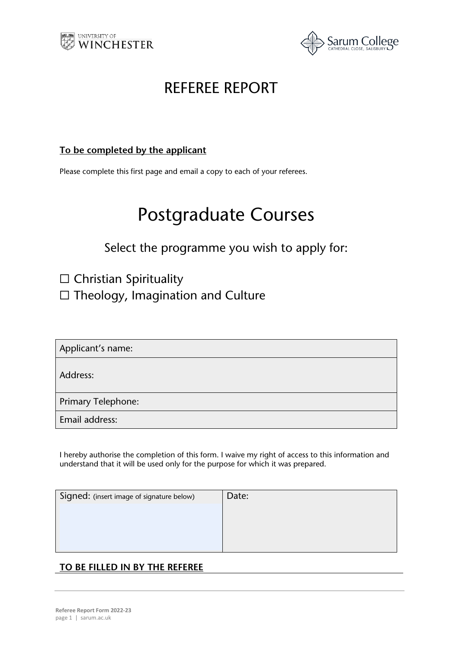



## REFEREE REPORT

#### **To be completed by the applicant**

Please complete this first page and email a copy to each of your referees.

# Postgraduate Courses

### Select the programme you wish to apply for:

□ Christian Spirituality

☐ Theology, Imagination and Culture

Applicant's name:

Address:

Primary Telephone:

Email address:

I hereby authorise the completion of this form. I waive my right of access to this information and understand that it will be used only for the purpose for which it was prepared.

| Signed: (insert image of signature below) | Date: |
|-------------------------------------------|-------|
|                                           |       |

### **TO BE FILLED IN BY THE REFEREE**